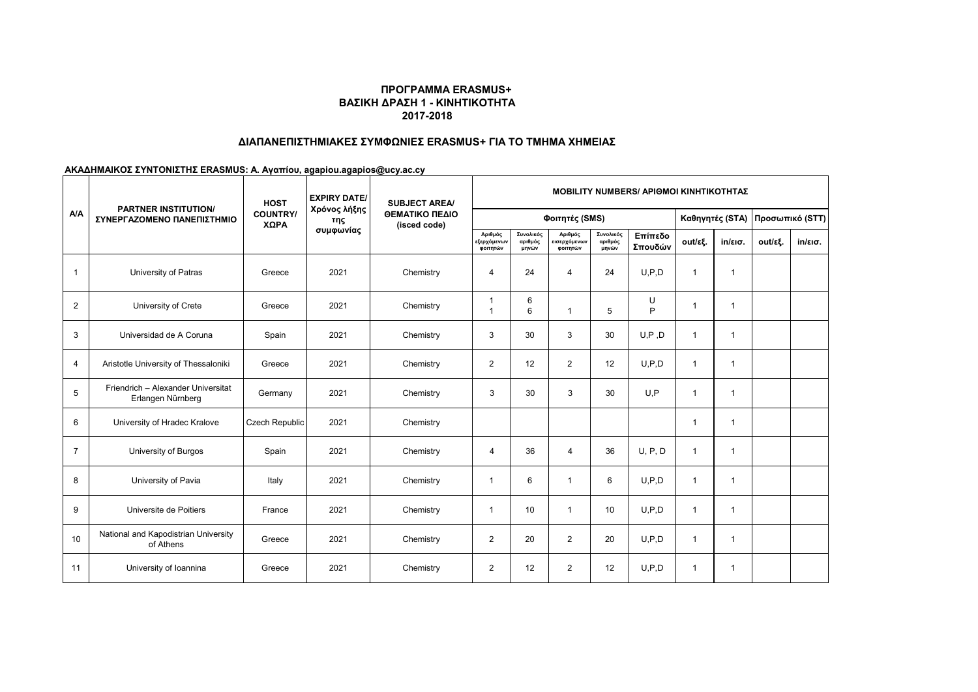## **ΠΡΟΓΡΑΜΜΑ ERASMUS+ ΒΑΣΙΚΗ ΔΡΑΣΗ 1 - ΚΙΝΗΤΙΚΟΤΗΤΑ 2017-2018**

## **ΔΙΑΠΑΝΕΠΙΣΤΗΜΙΑΚΕΣ ΣΥΜΦΩΝΙΕΣ ERASMUS+ ΓΙΑ ΤΟ ΤΜΗΜΑ ΧΗΜΕΙΑΣ**

**ΑΚΑΔΗΜΑΙΚΟΣ ΣΥΝΤΟΝΙΣΤΗΣ ERASMUS: A. Αγαπίου, agapiou.agapios@ucy.ac.cy**

| <b>A/A</b>      | <b>PARTNER INSTITUTION/</b><br>ΣΥΝΕΡΓΑΖΟΜΕΝΟ ΠΑΝΕΠΙΣΤΗΜΙΟ | <b>HOST</b><br><b>COUNTRY/</b><br>ΧΩΡΑ | <b>EXPIRY DATE/</b><br>Χρόνος λήξης<br>της<br>συμφωνίας | <b>SUBJECT AREA/</b><br>ΘΕΜΑΤΙΚΟ ΠΕΔΙΟ<br>(isced code) | <b>MOBILITY NUMBERS/ ΑΡΙΘΜΟΙ ΚΙΝΗΤΙΚΟΤΗΤΑΣ</b> |                               |                                     |                               |                    |                 |                   |                 |                   |  |
|-----------------|-----------------------------------------------------------|----------------------------------------|---------------------------------------------------------|--------------------------------------------------------|------------------------------------------------|-------------------------------|-------------------------------------|-------------------------------|--------------------|-----------------|-------------------|-----------------|-------------------|--|
|                 |                                                           |                                        |                                                         |                                                        | Φοιτητές (SMS)                                 |                               |                                     |                               |                    | Καθηγητές (STA) |                   | Προσωπικό (STT) |                   |  |
|                 |                                                           |                                        |                                                         |                                                        | Αριθμός<br>εξερχόμενων<br>φοιτητών             | Συνολικός<br>αριθμός<br>μηνών | Αριθμός<br>εισερχόμενων<br>φοιτητών | Συνολικός<br>αριθμός<br>μηνών | Επίπεδο<br>Σπουδών | out/εξ.         | $in/\epsilon$ ισ. | out/εξ.         | $in/\epsilon$ ισ. |  |
| $\mathbf{1}$    | University of Patras                                      | Greece                                 | 2021                                                    | Chemistry                                              | 4                                              | 24                            | 4                                   | 24                            | U.P.D              | $\mathbf{1}$    | $\mathbf{1}$      |                 |                   |  |
| 2               | University of Crete                                       | Greece                                 | 2021                                                    | Chemistry                                              | $\mathbf{1}$<br>-1                             | 6<br>6                        |                                     | 5                             | U<br>P             | $\mathbf{1}$    | $\overline{1}$    |                 |                   |  |
| 3               | Universidad de A Coruna                                   | Spain                                  | 2021                                                    | Chemistry                                              | 3                                              | 30                            | 3                                   | 30                            | U, P, D            | 1               | $\overline{1}$    |                 |                   |  |
| $\overline{4}$  | Aristotle University of Thessaloniki                      | Greece                                 | 2021                                                    | Chemistry                                              | $\overline{2}$                                 | 12                            | $\overline{2}$                      | 12                            | U.P.D              | $\mathbf{1}$    | $\overline{1}$    |                 |                   |  |
| 5               | Friendrich - Alexander Universitat<br>Erlangen Nürnberg   | Germany                                | 2021                                                    | Chemistry                                              | 3                                              | 30                            | 3                                   | 30                            | U.P                | $\mathbf{1}$    | $\overline{1}$    |                 |                   |  |
| 6               | University of Hradec Kralove                              | <b>Czech Republic</b>                  | 2021                                                    | Chemistry                                              |                                                |                               |                                     |                               |                    | 1               | $\overline{1}$    |                 |                   |  |
| $\overline{7}$  | University of Burgos                                      | Spain                                  | 2021                                                    | Chemistry                                              | $\overline{4}$                                 | 36                            | 4                                   | 36                            | U, P, D            | $\mathbf{1}$    | $\overline{1}$    |                 |                   |  |
| 8               | University of Pavia                                       | Italy                                  | 2021                                                    | Chemistry                                              | -1                                             | 6                             |                                     | 6                             | U.P.D              | $\mathbf{1}$    | $\overline{1}$    |                 |                   |  |
| 9               | Universite de Poitiers                                    | France                                 | 2021                                                    | Chemistry                                              | -1                                             | 10                            | -1                                  | 10                            | U.P.D              | $\mathbf{1}$    | $\overline{1}$    |                 |                   |  |
| 10 <sup>1</sup> | National and Kapodistrian University<br>of Athens         | Greece                                 | 2021                                                    | Chemistry                                              | 2                                              | 20                            | 2                                   | 20                            | U.P.D              | $\mathbf{1}$    | $\overline{1}$    |                 |                   |  |
| 11              | University of Ioannina                                    | Greece                                 | 2021                                                    | Chemistry                                              | 2                                              | 12                            | 2                                   | 12                            | U.P.D              | $\mathbf{1}$    | $\overline{1}$    |                 |                   |  |